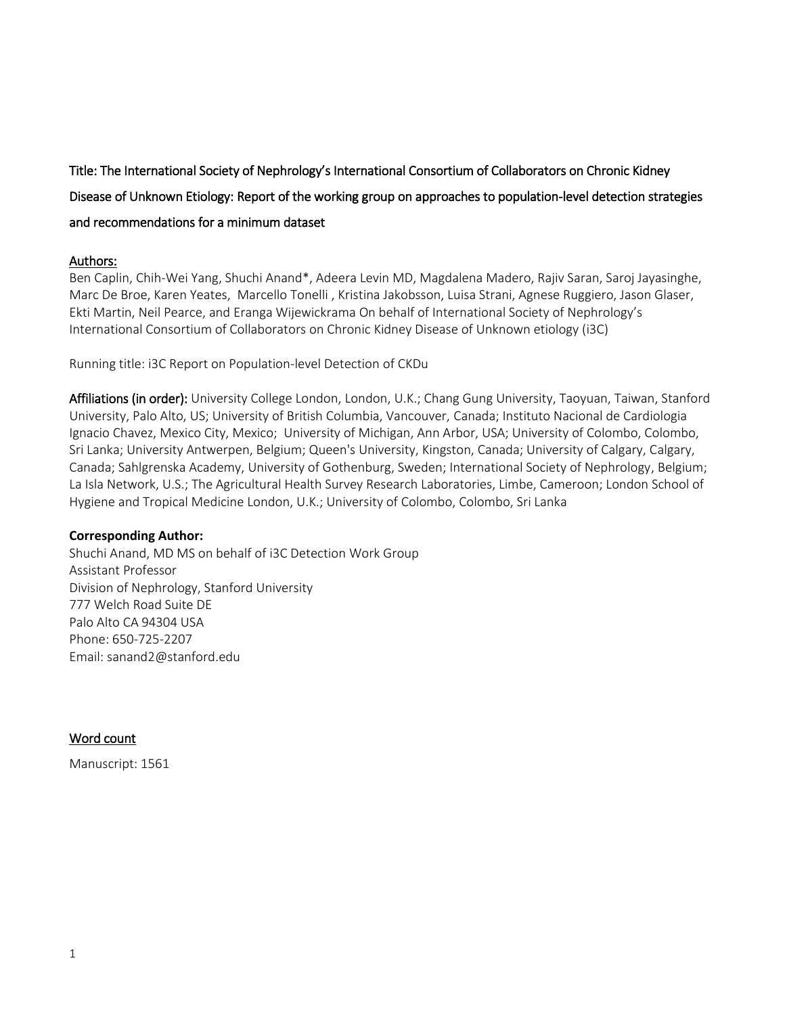# Title: The International Society of Nephrology's International Consortium of Collaborators on Chronic Kidney Disease of Unknown Etiology: Report of the working group on approaches to population-level detection strategies and recommendations for a minimum dataset

## Authors:

Ben Caplin, Chih-Wei Yang, Shuchi Anand\*, Adeera Levin MD, Magdalena Madero, Rajiv Saran, Saroj Jayasinghe, Marc De Broe, Karen Yeates, Marcello Tonelli , Kristina Jakobsson, Luisa Strani, Agnese Ruggiero, Jason Glaser, Ekti Martin, Neil Pearce, and Eranga Wijewickrama On behalf of International Society of Nephrology's International Consortium of Collaborators on Chronic Kidney Disease of Unknown etiology (i3C)

Running title: i3C Report on Population-level Detection of CKDu

Affiliations (in order): University College London, London, U.K.; Chang Gung University, Taoyuan, Taiwan, Stanford University, Palo Alto, US; University of British Columbia, Vancouver, Canada; Instituto Nacional de Cardiologia Ignacio Chavez, Mexico City, Mexico; University of Michigan, Ann Arbor, USA; University of Colombo, Colombo, Sri Lanka; University Antwerpen, Belgium; Queen's University, Kingston, Canada; University of Calgary, Calgary, Canada; Sahlgrenska Academy, University of Gothenburg, Sweden; International Society of Nephrology, Belgium; La Isla Network, U.S.; The Agricultural Health Survey Research Laboratories, Limbe, Cameroon; London School of Hygiene and Tropical Medicine London, U.K.; University of Colombo, Colombo, Sri Lanka

## **Corresponding Author:**

Shuchi Anand, MD MS on behalf of i3C Detection Work Group Assistant Professor Division of Nephrology, Stanford University 777 Welch Road Suite DE Palo Alto CA 94304 USA Phone: 650-725-2207 Email: sanand2@stanford.edu

## Word count

Manuscript: 1561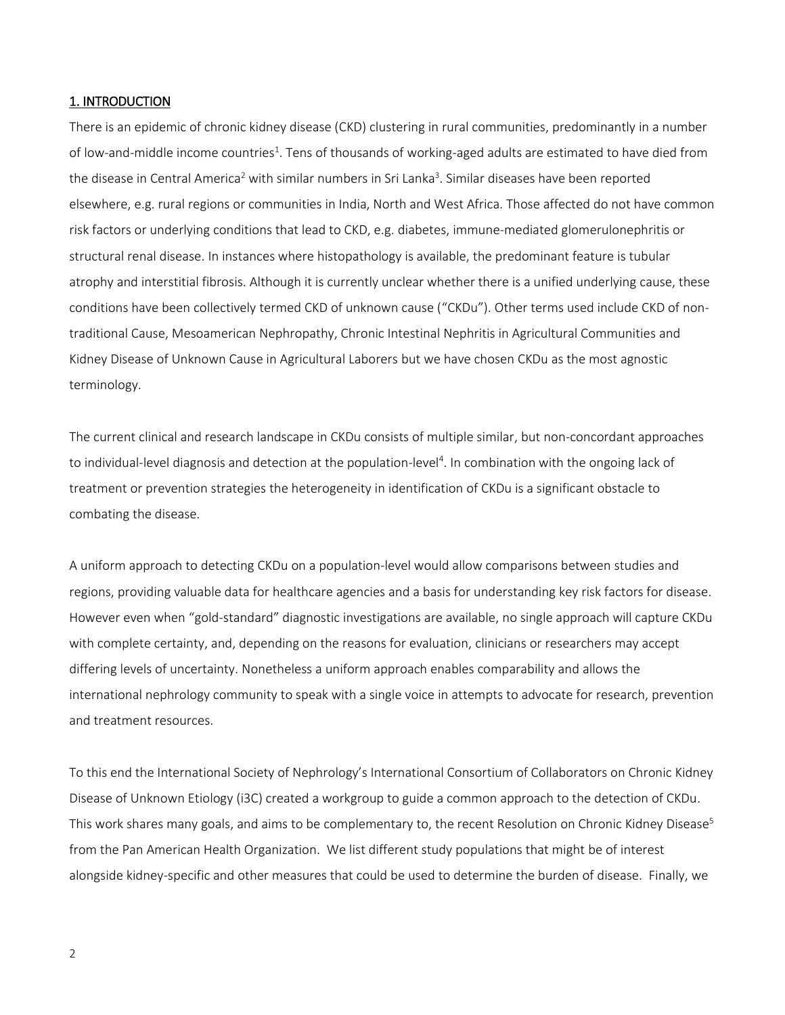#### 1. INTRODUCTION

There is an epidemic of chronic kidney disease (CKD) clustering in rural communities, predominantly in a number of low-and-middle income countries<sup>1</sup>. Tens of thousands of working-aged adults are estimated to have died from the disease in Central America<sup>2</sup> with similar numbers in Sri Lanka<sup>3</sup>. Similar diseases have been reported elsewhere, e.g. rural regions or communities in India, North and West Africa. Those affected do not have common risk factors or underlying conditions that lead to CKD, e.g. diabetes, immune-mediated glomerulonephritis or structural renal disease. In instances where histopathology is available, the predominant feature is tubular atrophy and interstitial fibrosis. Although it is currently unclear whether there is a unified underlying cause, these conditions have been collectively termed CKD of unknown cause ("CKDu"). Other terms used include CKD of nontraditional Cause, Mesoamerican Nephropathy, Chronic Intestinal Nephritis in Agricultural Communities and Kidney Disease of Unknown Cause in Agricultural Laborers but we have chosen CKDu as the most agnostic terminology.

The current clinical and research landscape in CKDu consists of multiple similar, but non-concordant approaches to individual-level diagnosis and detection at the population-level<sup>4</sup>. In combination with the ongoing lack of treatment or prevention strategies the heterogeneity in identification of CKDu is a significant obstacle to combating the disease.

A uniform approach to detecting CKDu on a population-level would allow comparisons between studies and regions, providing valuable data for healthcare agencies and a basis for understanding key risk factors for disease. However even when "gold-standard" diagnostic investigations are available, no single approach will capture CKDu with complete certainty, and, depending on the reasons for evaluation, clinicians or researchers may accept differing levels of uncertainty. Nonetheless a uniform approach enables comparability and allows the international nephrology community to speak with a single voice in attempts to advocate for research, prevention and treatment resources.

To this end the International Society of Nephrology's International Consortium of Collaborators on Chronic Kidney Disease of Unknown Etiology (i3C) created a workgroup to guide a common approach to the detection of CKDu. This work shares many goals, and aims to be complementary to, the recent Resolution on Chronic Kidney Disease<sup>5</sup> from the Pan American Health Organization. We list different study populations that might be of interest alongside kidney-specific and other measures that could be used to determine the burden of disease. Finally, we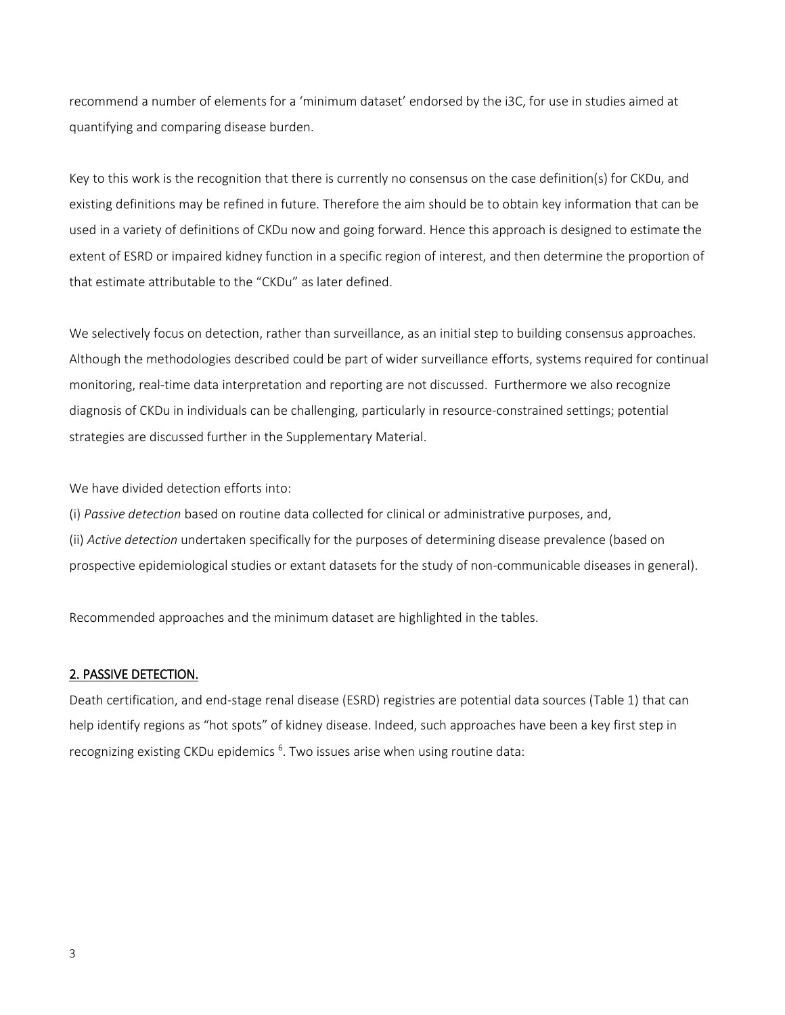recommend a number of elements for a 'minimum dataset' endorsed by the i3C, for use in studies aimed at quantifying and comparing disease burden.

Key to this work is the recognition that there is currently no consensus on the case definition(s) for CKDu, and existing definitions may be refined in future. Therefore the aim should be to obtain key information that can be used in a variety of definitions of CKDu now and going forward. Hence this approach is designed to estimate the extent of ESRD or impaired kidney function in a specific region of interest, and then determine the proportion of that estimate attributable to the "CKDu" as later defined.

We selectively focus on detection, rather than surveillance, as an initial step to building consensus approaches. Although the methodologies described could be part of wider surveillance efforts, systems required for continual monitoring, real-time data interpretation and reporting are not discussed. Furthermore we also recognize diagnosis of CKDu in individuals can be challenging, particularly in resource-constrained settings; potential strategies are discussed further in the Supplementary Material.

We have divided detection efforts into:

(i) *Passive detection* based on routine data collected for clinical or administrative purposes, and, (ii) *Active detection* undertaken specifically for the purposes of determining disease prevalence (based on prospective epidemiological studies or extant datasets for the study of non-communicable diseases in general).

Recommended approaches and the minimum dataset are highlighted in the tables.

## 2. PASSIVE DETECTION.

Death certification, and end-stage renal disease (ESRD) registries are potential data sources (Table 1) that can help identify regions as "hot spots" of kidney disease. Indeed, such approaches have been a key first step in recognizing existing CKDu epidemics <sup>6</sup>. Two issues arise when using routine data: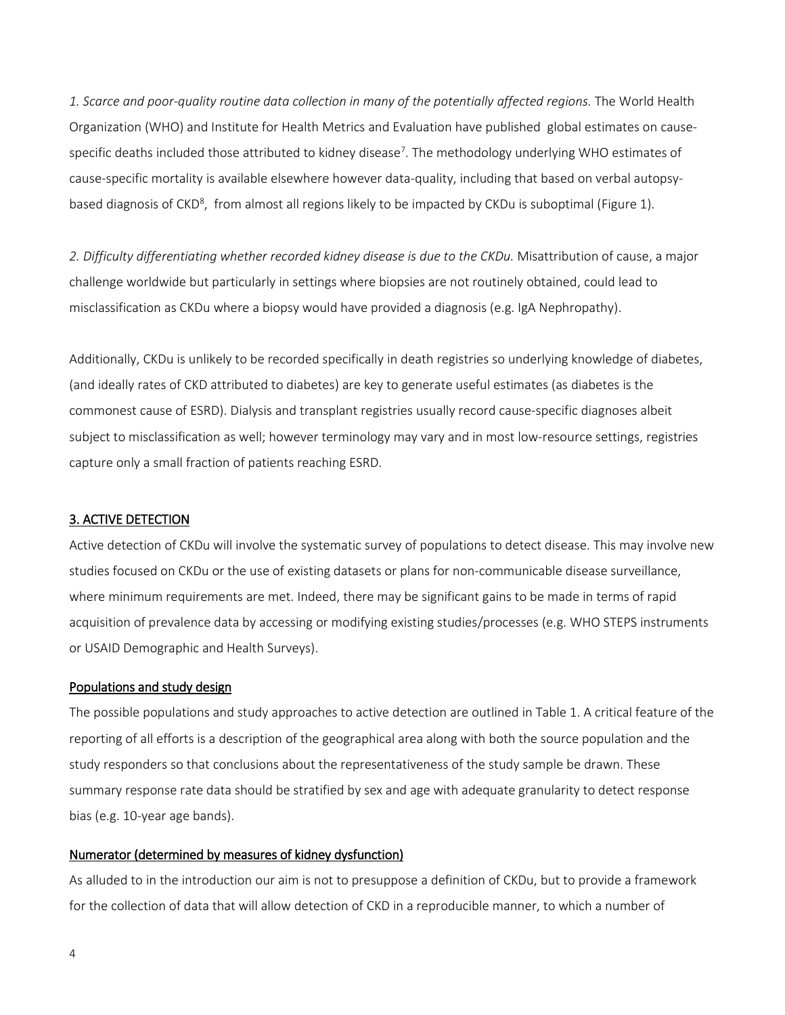*1. Scarce and poor-quality routine data collection in many of the potentially affected regions.* The World Health Organization (WHO) and Institute for Health Metrics and Evaluation have published global estimates on causespecific deaths included those attributed to kidney disease<sup>7</sup>. The methodology underlying WHO estimates of cause-specific mortality is available elsewhere however data-quality, including that based on verbal autopsybased diagnosis of CKD<sup>8</sup>, from almost all regions likely to be impacted by CKDu is suboptimal (Figure 1).

*2. Difficulty differentiating whether recorded kidney disease is due to the CKDu.* Misattribution of cause, a major challenge worldwide but particularly in settings where biopsies are not routinely obtained, could lead to misclassification as CKDu where a biopsy would have provided a diagnosis (e.g. IgA Nephropathy).

Additionally, CKDu is unlikely to be recorded specifically in death registries so underlying knowledge of diabetes, (and ideally rates of CKD attributed to diabetes) are key to generate useful estimates (as diabetes is the commonest cause of ESRD). Dialysis and transplant registries usually record cause-specific diagnoses albeit subject to misclassification as well; however terminology may vary and in most low-resource settings, registries capture only a small fraction of patients reaching ESRD.

#### 3. ACTIVE DETECTION

Active detection of CKDu will involve the systematic survey of populations to detect disease. This may involve new studies focused on CKDu or the use of existing datasets or plans for non-communicable disease surveillance, where minimum requirements are met. Indeed, there may be significant gains to be made in terms of rapid acquisition of prevalence data by accessing or modifying existing studies/processes (e.g. WHO STEPS instruments or USAID Demographic and Health Surveys).

#### Populations and study design

The possible populations and study approaches to active detection are outlined in Table 1. A critical feature of the reporting of all efforts is a description of the geographical area along with both the source population and the study responders so that conclusions about the representativeness of the study sample be drawn. These summary response rate data should be stratified by sex and age with adequate granularity to detect response bias (e.g. 10-year age bands).

#### Numerator (determined by measures of kidney dysfunction)

As alluded to in the introduction our aim is not to presuppose a definition of CKDu, but to provide a framework for the collection of data that will allow detection of CKD in a reproducible manner, to which a number of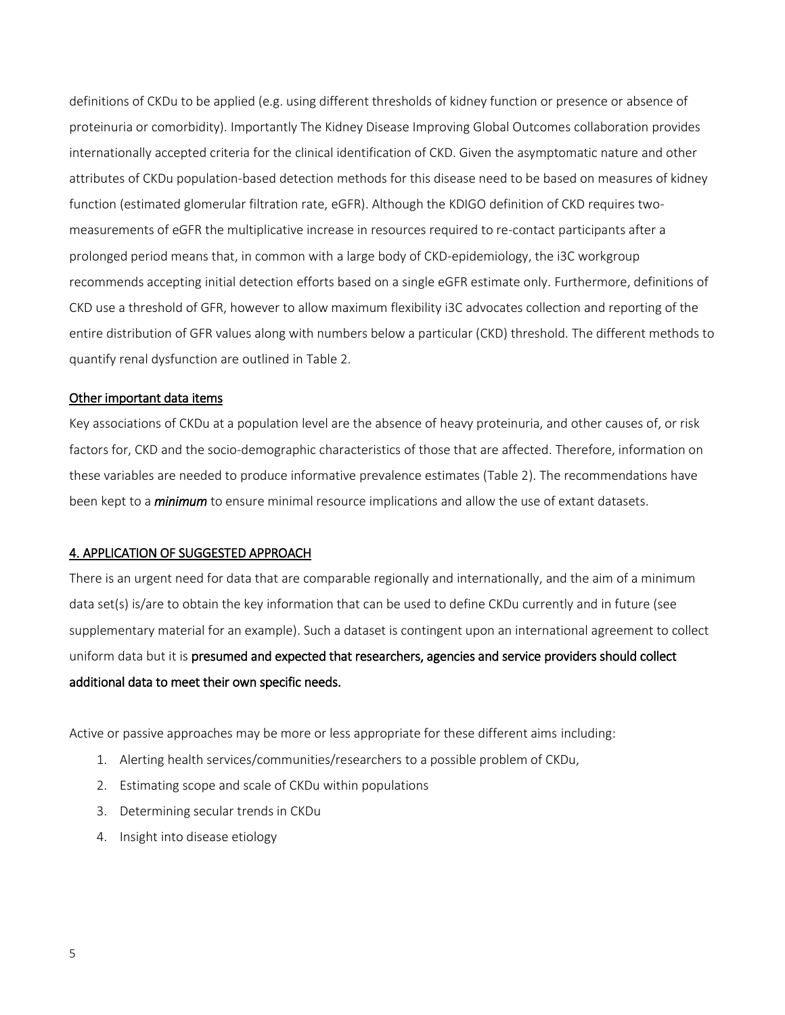definitions of CKDu to be applied (e.g. using different thresholds of kidney function or presence or absence of proteinuria or comorbidity). Importantly The Kidney Disease Improving Global Outcomes collaboration provides internationally accepted criteria for the clinical identification of CKD. Given the asymptomatic nature and other attributes of CKDu population-based detection methods for this disease need to be based on measures of kidney function (estimated glomerular filtration rate, eGFR). Although the KDIGO definition of CKD requires twomeasurements of eGFR the multiplicative increase in resources required to re-contact participants after a prolonged period means that, in common with a large body of CKD-epidemiology, the i3C workgroup recommends accepting initial detection efforts based on a single eGFR estimate only. Furthermore, definitions of CKD use a threshold of GFR, however to allow maximum flexibility i3C advocates collection and reporting of the entire distribution of GFR values along with numbers below a particular (CKD) threshold. The different methods to quantify renal dysfunction are outlined in Table 2.

#### Other important data items

Key associations of CKDu at a population level are the absence of heavy proteinuria, and other causes of, or risk factors for, CKD and the socio-demographic characteristics of those that are affected. Therefore, information on these variables are needed to produce informative prevalence estimates (Table 2). The recommendations have been kept to a *minimum* to ensure minimal resource implications and allow the use of extant datasets.

#### 4. APPLICATION OF SUGGESTED APPROACH

There is an urgent need for data that are comparable regionally and internationally, and the aim of a minimum data set(s) is/are to obtain the key information that can be used to define CKDu currently and in future (see supplementary material for an example). Such a dataset is contingent upon an international agreement to collect uniform data but it is presumed and expected that researchers, agencies and service providers should collect additional data to meet their own specific needs.

Active or passive approaches may be more or less appropriate for these different aims including:

- 1. Alerting health services/communities/researchers to a possible problem of CKDu,
- 2. Estimating scope and scale of CKDu within populations
- 3. Determining secular trends in CKDu
- 4. Insight into disease etiology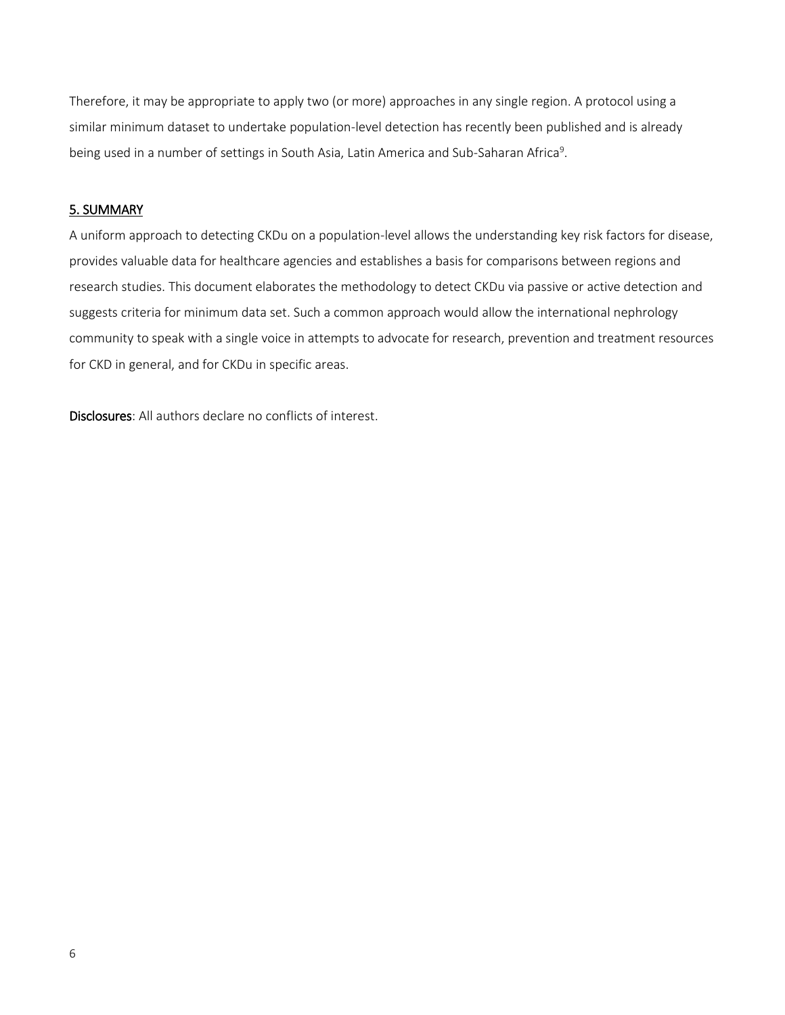Therefore, it may be appropriate to apply two (or more) approaches in any single region. A protocol using a similar minimum dataset to undertake population-level detection has recently been published and is already being used in a number of settings in South Asia, Latin America and Sub-Saharan Africa<sup>9</sup>.

## 5. SUMMARY

A uniform approach to detecting CKDu on a population-level allows the understanding key risk factors for disease, provides valuable data for healthcare agencies and establishes a basis for comparisons between regions and research studies. This document elaborates the methodology to detect CKDu via passive or active detection and suggests criteria for minimum data set. Such a common approach would allow the international nephrology community to speak with a single voice in attempts to advocate for research, prevention and treatment resources for CKD in general, and for CKDu in specific areas.

Disclosures: All authors declare no conflicts of interest.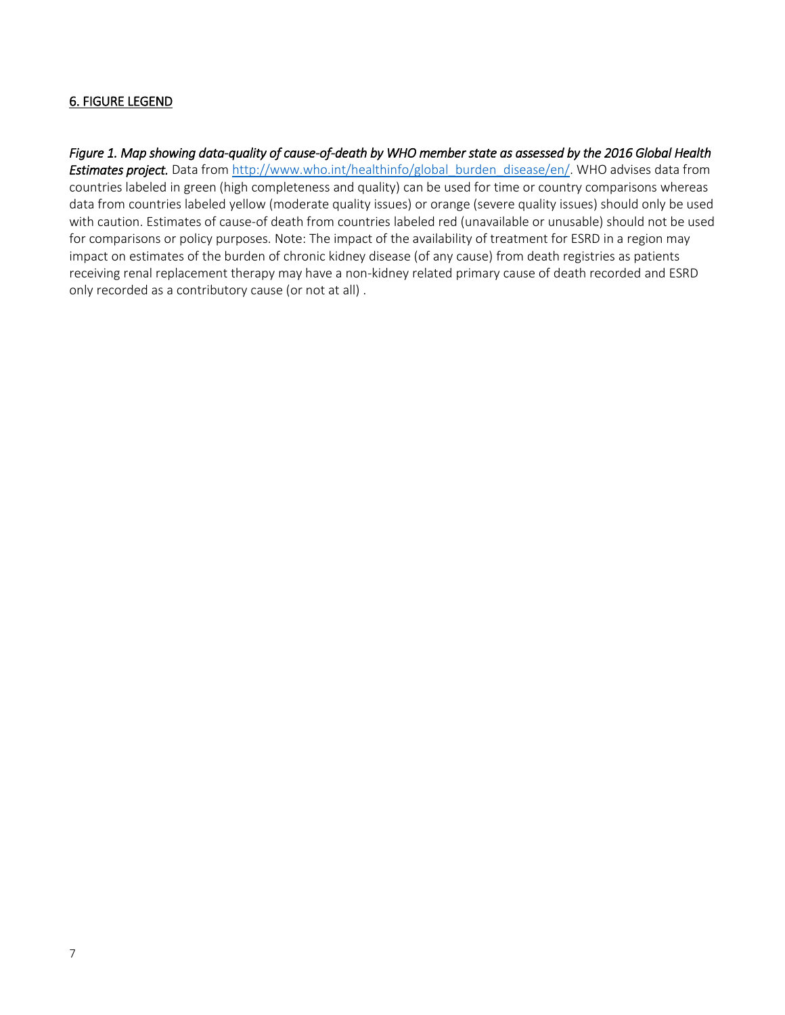## 6. FIGURE LEGEND

*Figure 1. Map showing data-quality of cause-of-death by WHO member state as assessed by the 2016 Global Health*  **Estimates project.** Data from [http://www.who.int/healthinfo/global\\_burden\\_disease/en/.](http://www.who.int/healthinfo/global_burden_disease/en/) WHO advises data from countries labeled in green (high completeness and quality) can be used for time or country comparisons whereas data from countries labeled yellow (moderate quality issues) or orange (severe quality issues) should only be used with caution. Estimates of cause-of death from countries labeled red (unavailable or unusable) should not be used for comparisons or policy purposes. Note:The impact of the availability of treatment for ESRD in a region may impact on estimates of the burden of chronic kidney disease (of any cause) from death registries as patients receiving renal replacement therapy may have a non-kidney related primary cause of death recorded and ESRD only recorded as a contributory cause (or not at all) .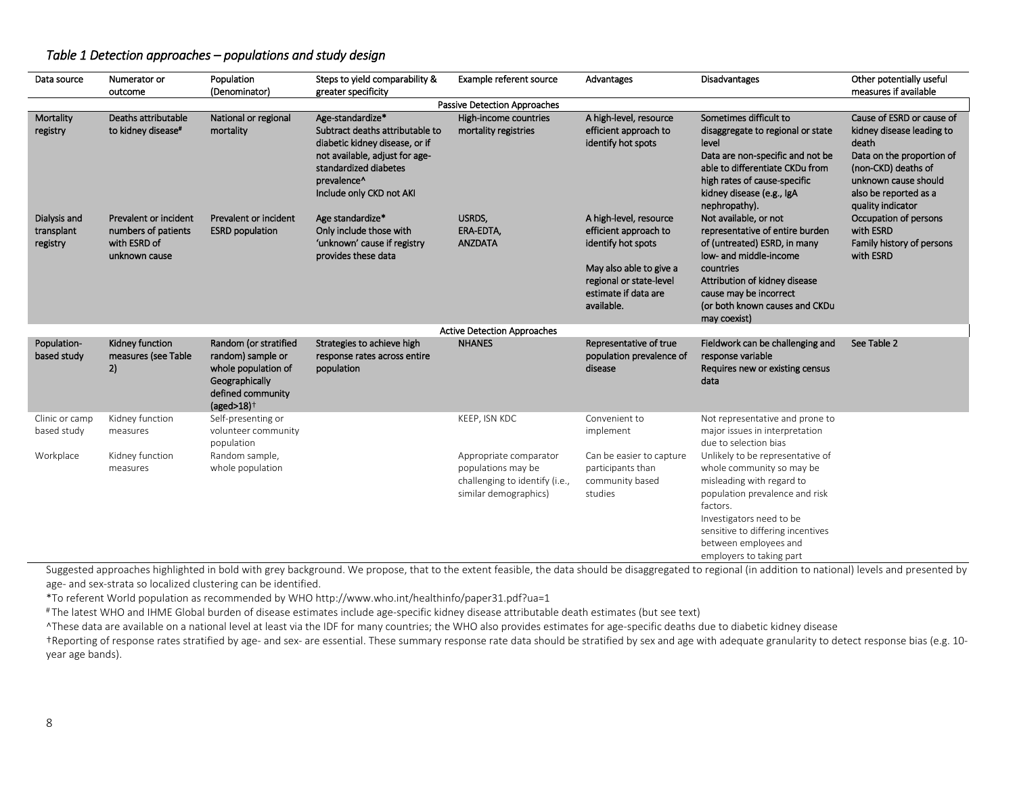## *Table 1 Detection approaches – populations and study design*

| Data source                            | Numerator or<br>outcome                                                       | Population<br>(Denominator)                                                                                               | Steps to yield comparability &<br>greater specificity                                                                                                                                       | Example referent source                                                                                 | Advantages                                                                                                                                                        | <b>Disadvantages</b>                                                                                                                                                                                                                                           | Other potentially useful<br>measures if available                                                                                                                                         |  |  |
|----------------------------------------|-------------------------------------------------------------------------------|---------------------------------------------------------------------------------------------------------------------------|---------------------------------------------------------------------------------------------------------------------------------------------------------------------------------------------|---------------------------------------------------------------------------------------------------------|-------------------------------------------------------------------------------------------------------------------------------------------------------------------|----------------------------------------------------------------------------------------------------------------------------------------------------------------------------------------------------------------------------------------------------------------|-------------------------------------------------------------------------------------------------------------------------------------------------------------------------------------------|--|--|
| Passive Detection Approaches           |                                                                               |                                                                                                                           |                                                                                                                                                                                             |                                                                                                         |                                                                                                                                                                   |                                                                                                                                                                                                                                                                |                                                                                                                                                                                           |  |  |
| Mortality<br>registry                  | Deaths attributable<br>to kidney disease*                                     | National or regional<br>mortality                                                                                         | Age-standardize*<br>Subtract deaths attributable to<br>diabetic kidney disease, or if<br>not available, adjust for age-<br>standardized diabetes<br>prevalence^<br>Include only CKD not AKI | High-income countries<br>mortality registries                                                           | A high-level, resource<br>efficient approach to<br>identify hot spots                                                                                             | Sometimes difficult to<br>disaggregate to regional or state<br>level<br>Data are non-specific and not be<br>able to differentiate CKDu from<br>high rates of cause-specific<br>kidney disease (e.g., IgA<br>nephropathy).                                      | Cause of ESRD or cause of<br>kidney disease leading to<br>death<br>Data on the proportion of<br>(non-CKD) deaths of<br>unknown cause should<br>also be reported as a<br>quality indicator |  |  |
| Dialysis and<br>transplant<br>registry | Prevalent or incident<br>numbers of patients<br>with ESRD of<br>unknown cause | Prevalent or incident<br><b>ESRD</b> population                                                                           | Age standardize*<br>Only include those with<br>'unknown' cause if registry<br>provides these data                                                                                           | USRDS,<br>ERA-EDTA,<br><b>ANZDATA</b>                                                                   | A high-level, resource<br>efficient approach to<br>identify hot spots<br>May also able to give a<br>regional or state-level<br>estimate if data are<br>available. | Not available, or not<br>representative of entire burden<br>of (untreated) ESRD, in many<br>low- and middle-income<br>countries<br>Attribution of kidney disease<br>cause may be incorrect<br>(or both known causes and CKDu<br>may coexist)                   | Occupation of persons<br>with ESRD<br>Family history of persons<br>with ESRD                                                                                                              |  |  |
|                                        |                                                                               |                                                                                                                           |                                                                                                                                                                                             | <b>Active Detection Approaches</b>                                                                      |                                                                                                                                                                   |                                                                                                                                                                                                                                                                |                                                                                                                                                                                           |  |  |
| Population-<br>based study             | Kidney function<br>measures (see Table<br>2)                                  | Random (or stratified<br>random) sample or<br>whole population of<br>Geographically<br>defined community<br>$(aged>18)^+$ | Strategies to achieve high<br>response rates across entire<br>population                                                                                                                    | <b>NHANES</b>                                                                                           | Representative of true<br>population prevalence of<br>disease                                                                                                     | Fieldwork can be challenging and<br>response variable<br>Requires new or existing census<br>data                                                                                                                                                               | See Table 2                                                                                                                                                                               |  |  |
| Clinic or camp<br>based study          | Kidney function<br>measures                                                   | Self-presenting or<br>volunteer community<br>population                                                                   |                                                                                                                                                                                             | KEEP, ISN KDC                                                                                           | Convenient to<br>implement                                                                                                                                        | Not representative and prone to<br>major issues in interpretation<br>due to selection bias                                                                                                                                                                     |                                                                                                                                                                                           |  |  |
| Workplace                              | Kidney function<br>measures                                                   | Random sample,<br>whole population                                                                                        |                                                                                                                                                                                             | Appropriate comparator<br>populations may be<br>challenging to identify (i.e.,<br>similar demographics) | Can be easier to capture<br>participants than<br>community based<br>studies                                                                                       | Unlikely to be representative of<br>whole community so may be<br>misleading with regard to<br>population prevalence and risk<br>factors.<br>Investigators need to be<br>sensitive to differing incentives<br>between employees and<br>employers to taking part |                                                                                                                                                                                           |  |  |

Suggested approaches highlighted in bold with grey background. We propose, that to the extent feasible, the data should be disaggregated to regional (in addition to national) levels and presented by age- and sex-strata so localized clustering can be identified.

\*To referent World population as recommended by WHO http://www.who.int/healthinfo/paper31.pdf?ua=1

# The latest WHO and IHME Global burden of disease estimates include age-specific kidney disease attributable death estimates (but see text)

^These data are available on a national level at least via the IDF for many countries; the WHO also provides estimates for age-specific deaths due to diabetic kidney disease

†Reporting of response rates stratified by age- and sex- are essential. These summary response rate data should be stratified by sex and age with adequate granularity to detect response bias (e.g. 10 year age bands).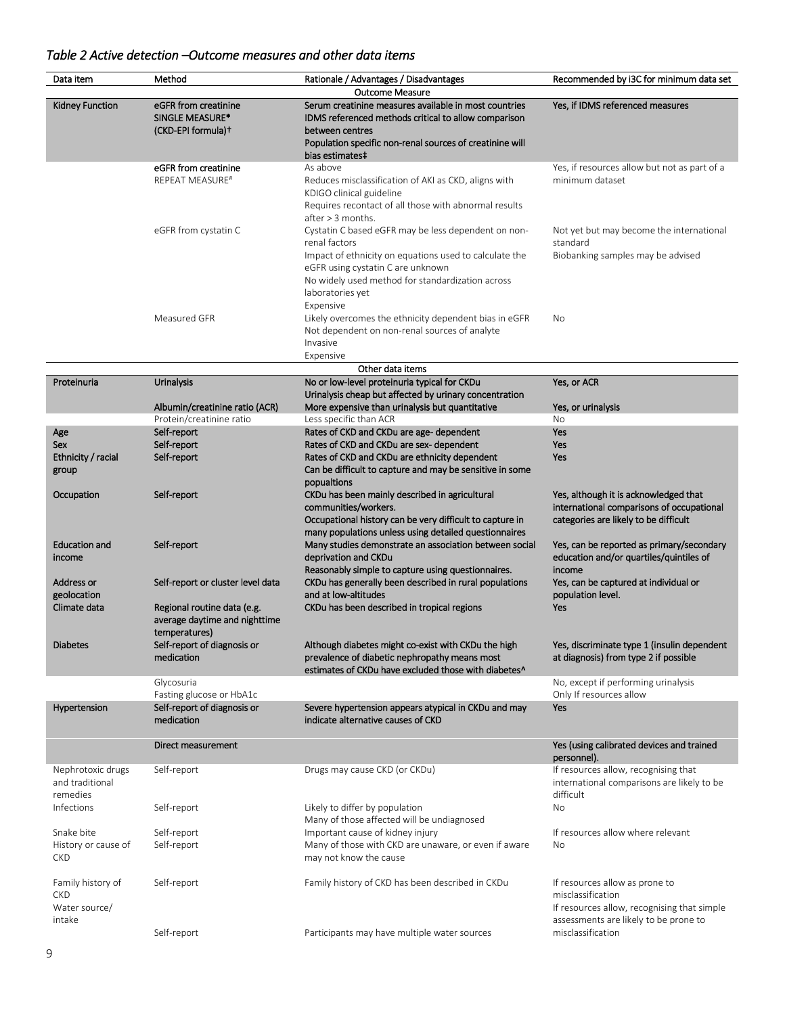## *Table 2 Active detection –Outcome measures and other data items*

| Data item                                                                       | Method                            | Rationale / Advantages / Disadvantages                   | Recommended by i3C for minimum data set      |  |  |  |  |  |
|---------------------------------------------------------------------------------|-----------------------------------|----------------------------------------------------------|----------------------------------------------|--|--|--|--|--|
| <b>Outcome Measure</b><br>Serum creatinine measures available in most countries |                                   |                                                          |                                              |  |  |  |  |  |
| <b>Kidney Function</b>                                                          | eGFR from creatinine              |                                                          | Yes, if IDMS referenced measures             |  |  |  |  |  |
|                                                                                 | SINGLE MEASURE*                   | IDMS referenced methods critical to allow comparison     |                                              |  |  |  |  |  |
|                                                                                 | (CKD-EPI formula)+                | between centres                                          |                                              |  |  |  |  |  |
|                                                                                 |                                   | Population specific non-renal sources of creatinine will |                                              |  |  |  |  |  |
|                                                                                 |                                   | bias estimates‡                                          |                                              |  |  |  |  |  |
|                                                                                 | eGFR from creatinine              | As above                                                 | Yes, if resources allow but not as part of a |  |  |  |  |  |
|                                                                                 | <b>REPEAT MEASURE#</b>            | Reduces misclassification of AKI as CKD, aligns with     | minimum dataset                              |  |  |  |  |  |
|                                                                                 |                                   | KDIGO clinical guideline                                 |                                              |  |  |  |  |  |
|                                                                                 |                                   | Requires recontact of all those with abnormal results    |                                              |  |  |  |  |  |
|                                                                                 |                                   | after > 3 months.                                        |                                              |  |  |  |  |  |
|                                                                                 | eGFR from cystatin C              | Cystatin C based eGFR may be less dependent on non-      | Not yet but may become the international     |  |  |  |  |  |
|                                                                                 |                                   | renal factors                                            | standard                                     |  |  |  |  |  |
|                                                                                 |                                   | Impact of ethnicity on equations used to calculate the   | Biobanking samples may be advised            |  |  |  |  |  |
|                                                                                 |                                   | eGFR using cystatin C are unknown                        |                                              |  |  |  |  |  |
|                                                                                 |                                   | No widely used method for standardization across         |                                              |  |  |  |  |  |
|                                                                                 |                                   | laboratories yet                                         |                                              |  |  |  |  |  |
|                                                                                 |                                   | Expensive                                                |                                              |  |  |  |  |  |
|                                                                                 | Measured GFR                      | Likely overcomes the ethnicity dependent bias in eGFR    | No                                           |  |  |  |  |  |
|                                                                                 |                                   | Not dependent on non-renal sources of analyte            |                                              |  |  |  |  |  |
|                                                                                 |                                   | Invasive                                                 |                                              |  |  |  |  |  |
|                                                                                 |                                   | Expensive                                                |                                              |  |  |  |  |  |
|                                                                                 |                                   | Other data items                                         |                                              |  |  |  |  |  |
| Proteinuria                                                                     | Urinalysis                        | No or low-level proteinuria typical for CKDu             | Yes, or ACR                                  |  |  |  |  |  |
|                                                                                 |                                   | Urinalysis cheap but affected by urinary concentration   |                                              |  |  |  |  |  |
|                                                                                 | Albumin/creatinine ratio (ACR)    | More expensive than urinalysis but quantitative          | Yes, or urinalysis                           |  |  |  |  |  |
|                                                                                 | Protein/creatinine ratio          | Less specific than ACR                                   | <b>No</b>                                    |  |  |  |  |  |
| Age                                                                             | Self-report                       | Rates of CKD and CKDu are age- dependent                 | Yes                                          |  |  |  |  |  |
| Sex                                                                             | Self-report                       | Rates of CKD and CKDu are sex- dependent                 | Yes                                          |  |  |  |  |  |
| Ethnicity / racial                                                              | Self-report                       | Rates of CKD and CKDu are ethnicity dependent            | Yes                                          |  |  |  |  |  |
| group                                                                           |                                   | Can be difficult to capture and may be sensitive in some |                                              |  |  |  |  |  |
|                                                                                 |                                   | popualtions                                              |                                              |  |  |  |  |  |
| Occupation                                                                      | Self-report                       | CKDu has been mainly described in agricultural           | Yes, although it is acknowledged that        |  |  |  |  |  |
|                                                                                 |                                   | communities/workers.                                     | international comparisons of occupational    |  |  |  |  |  |
|                                                                                 |                                   | Occupational history can be very difficult to capture in | categories are likely to be difficult        |  |  |  |  |  |
|                                                                                 |                                   | many populations unless using detailed questionnaires    |                                              |  |  |  |  |  |
| <b>Education and</b>                                                            | Self-report                       | Many studies demonstrate an association between social   | Yes, can be reported as primary/secondary    |  |  |  |  |  |
| income                                                                          |                                   | deprivation and CKDu                                     | education and/or quartiles/quintiles of      |  |  |  |  |  |
|                                                                                 |                                   | Reasonably simple to capture using questionnaires.       | income                                       |  |  |  |  |  |
| Address or                                                                      | Self-report or cluster level data | CKDu has generally been described in rural populations   | Yes, can be captured at individual or        |  |  |  |  |  |
| geolocation                                                                     |                                   | and at low-altitudes                                     | population level.                            |  |  |  |  |  |
| Climate data                                                                    | Regional routine data (e.g.       | CKDu has been described in tropical regions              | Yes                                          |  |  |  |  |  |
|                                                                                 | average daytime and nighttime     |                                                          |                                              |  |  |  |  |  |
|                                                                                 | temperatures)                     |                                                          |                                              |  |  |  |  |  |
| <b>Diabetes</b>                                                                 | Self-report of diagnosis or       | Although diabetes might co-exist with CKDu the high      | Yes, discriminate type 1 (insulin dependent  |  |  |  |  |  |
|                                                                                 | medication                        | prevalence of diabetic nephropathy means most            | at diagnosis) from type 2 if possible        |  |  |  |  |  |
|                                                                                 |                                   | estimates of CKDu have excluded those with diabetes^     |                                              |  |  |  |  |  |
|                                                                                 | Glycosuria                        |                                                          | No, except if performing urinalysis          |  |  |  |  |  |
|                                                                                 | Fasting glucose or HbA1c          |                                                          | Only If resources allow                      |  |  |  |  |  |
| Hypertension                                                                    | Self-report of diagnosis or       | Severe hypertension appears atypical in CKDu and may     | Yes                                          |  |  |  |  |  |
|                                                                                 | medication                        | indicate alternative causes of CKD                       |                                              |  |  |  |  |  |
|                                                                                 |                                   |                                                          |                                              |  |  |  |  |  |
|                                                                                 | Direct measurement                |                                                          | Yes (using calibrated devices and trained    |  |  |  |  |  |
|                                                                                 |                                   |                                                          | personnel).                                  |  |  |  |  |  |
| Nephrotoxic drugs                                                               | Self-report                       | Drugs may cause CKD (or CKDu)                            | If resources allow, recognising that         |  |  |  |  |  |
| and traditional                                                                 |                                   |                                                          | international comparisons are likely to be   |  |  |  |  |  |
| remedies                                                                        |                                   |                                                          | difficult                                    |  |  |  |  |  |
| Infections                                                                      |                                   | Likely to differ by population                           | No                                           |  |  |  |  |  |
|                                                                                 | Self-report                       | Many of those affected will be undiagnosed               |                                              |  |  |  |  |  |
| Snake bite                                                                      | Self-report                       | Important cause of kidney injury                         | If resources allow where relevant            |  |  |  |  |  |
|                                                                                 |                                   |                                                          |                                              |  |  |  |  |  |
| History or cause of                                                             | Self-report                       | Many of those with CKD are unaware, or even if aware     | No                                           |  |  |  |  |  |
| <b>CKD</b>                                                                      |                                   | may not know the cause                                   |                                              |  |  |  |  |  |
|                                                                                 |                                   |                                                          |                                              |  |  |  |  |  |
| Family history of                                                               | Self-report                       | Family history of CKD has been described in CKDu         | If resources allow as prone to               |  |  |  |  |  |
| <b>CKD</b>                                                                      |                                   |                                                          | misclassification                            |  |  |  |  |  |
| Water source/                                                                   |                                   |                                                          | If resources allow, recognising that simple  |  |  |  |  |  |
| intake                                                                          |                                   |                                                          | assessments are likely to be prone to        |  |  |  |  |  |
|                                                                                 | Self-report                       | Participants may have multiple water sources             | misclassification                            |  |  |  |  |  |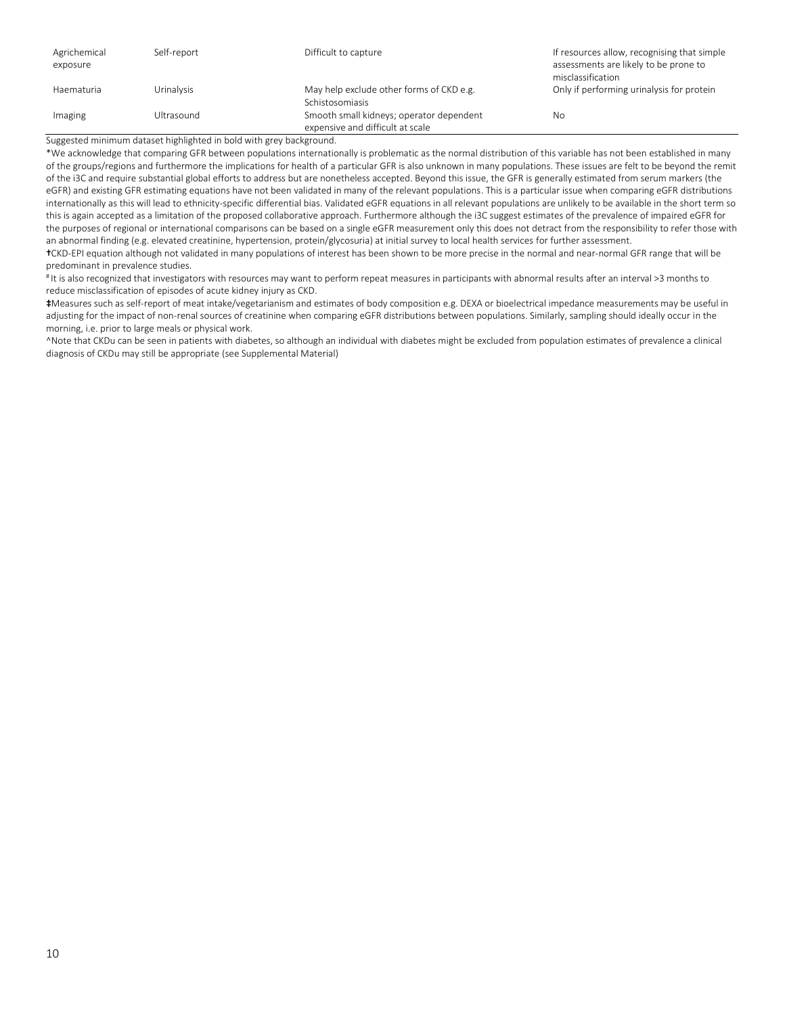| Agrichemical<br>exposure | Self-report       | Difficult to capture                                                         | If resources allow, recognising that simple<br>assessments are likely to be prone to<br>misclassification |
|--------------------------|-------------------|------------------------------------------------------------------------------|-----------------------------------------------------------------------------------------------------------|
| Haematuria               | <b>Urinalysis</b> | May help exclude other forms of CKD e.g.<br>Schistosomiasis                  | Only if performing urinalysis for protein                                                                 |
| Imaging                  | Ultrasound        | Smooth small kidneys; operator dependent<br>expensive and difficult at scale | No                                                                                                        |

Suggested minimum dataset highlighted in bold with grey background.

\*We acknowledge that comparing GFR between populations internationally is problematic as the normal distribution of this variable has not been established in many of the groups/regions and furthermore the implications for health of a particular GFR is also unknown in many populations. These issues are felt to be beyond the remit of the i3C and require substantial global efforts to address but are nonetheless accepted. Beyond this issue, the GFR is generally estimated from serum markers (the eGFR) and existing GFR estimating equations have not been validated in many of the relevant populations. This is a particular issue when comparing eGFR distributions internationally as this will lead to ethnicity-specific differential bias. Validated eGFR equations in all relevant populations are unlikely to be available in the short term so this is again accepted as a limitation of the proposed collaborative approach. Furthermore although the i3C suggest estimates of the prevalence of impaired eGFR for the purposes of regional or international comparisons can be based on a single eGFR measurement only this does not detract from the responsibility to refer those with an abnormal finding (e.g. elevated creatinine, hypertension, protein/glycosuria) at initial survey to local health services for further assessment.

†CKD-EPI equation although not validated in many populations of interest has been shown to be more precise in the normal and near-normal GFR range that will be predominant in prevalence studies.

# It is also recognized that investigators with resources may want to perform repeat measures in participants with abnormal results after an interval >3 months to reduce misclassification of episodes of acute kidney injury as CKD.

‡Measures such as self-report of meat intake/vegetarianism and estimates of body composition e.g. DEXA or bioelectrical impedance measurements may be useful in adjusting for the impact of non-renal sources of creatinine when comparing eGFR distributions between populations. Similarly, sampling should ideally occur in the morning, i.e. prior to large meals or physical work.

^Note that CKDu can be seen in patients with diabetes, so although an individual with diabetes might be excluded from population estimates of prevalence a clinical diagnosis of CKDu may still be appropriate (see Supplemental Material)